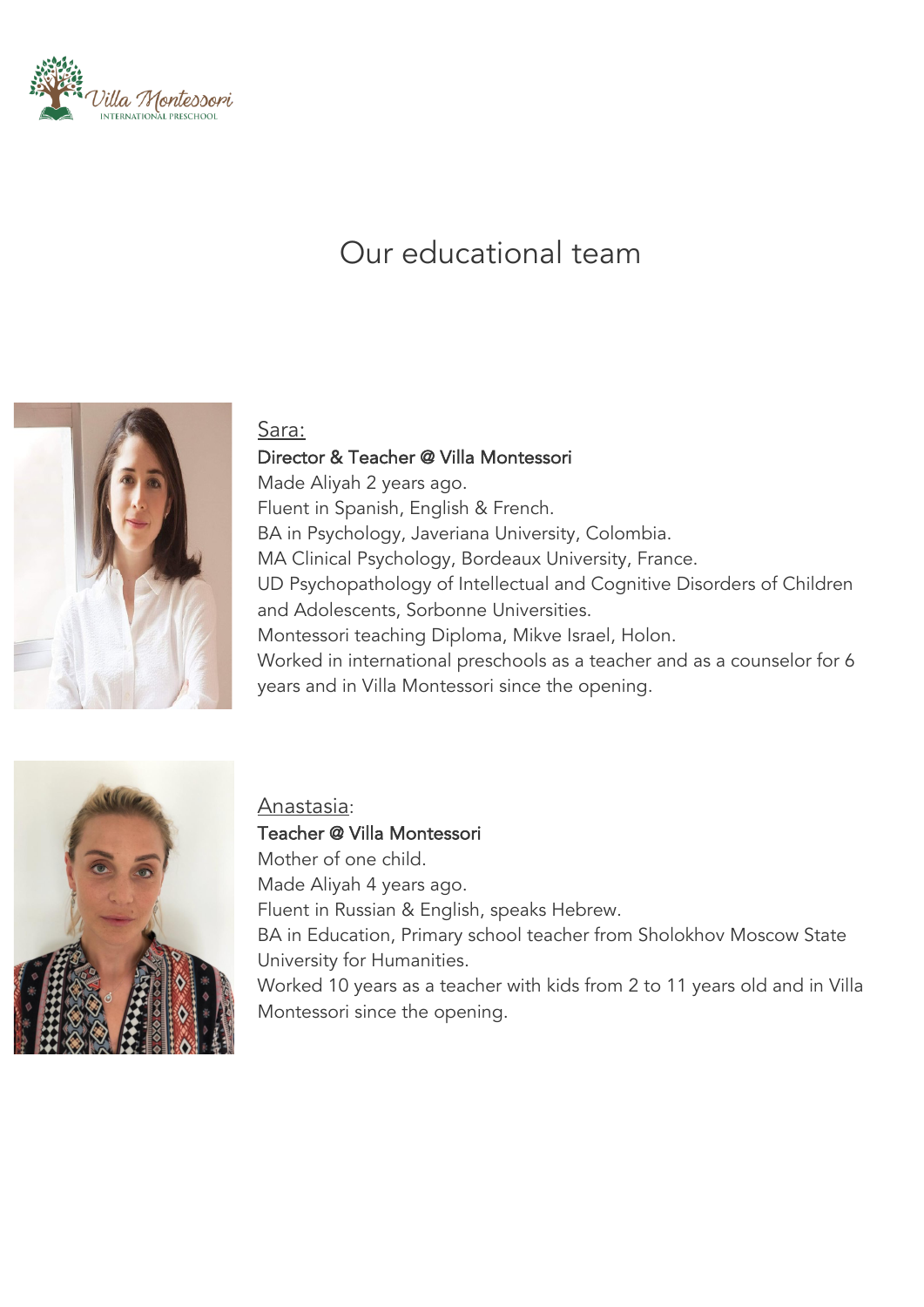

# Our educational team



#### Sara:

Director & Teacher @ Villa Montessori Made Aliyah 2 years ago. Fluent in Spanish, English & French. BA in Psychology, Javeriana University, Colombia. MA Clinical Psychology, Bordeaux University, France. UD Psychopathology of Intellectual and Cognitive Disorders of Children and Adolescents, Sorbonne Universities. Montessori teaching Diploma, Mikve Israel, Holon. Worked in international preschools as a teacher and as a counselor for 6 years and in Villa Montessori since the opening.



#### Anastasia:

Teacher @ Villa Montessori Mother of one child. Made Aliyah 4 years ago. Fluent in Russian & English, speaks Hebrew. BA in Education, Primary school teacher from Sholokhov Moscow State University for Humanities. Worked 10 years as a teacher with kids from 2 to 11 years old and in Villa Montessori since the opening.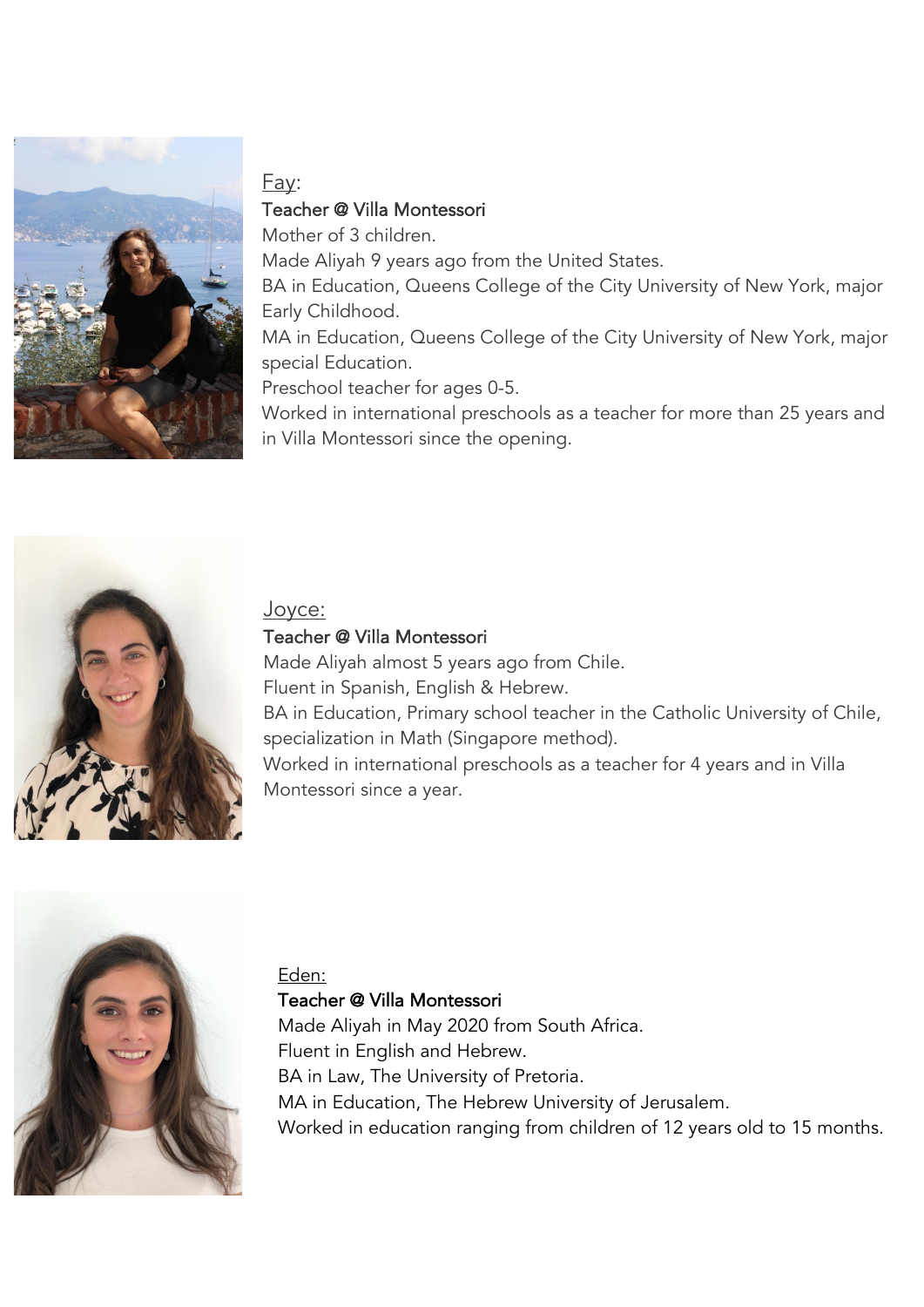

# Fay: Teacher @ Villa Montessori

Mother of 3 children. Made Aliyah 9 years ago from the United States. BA in Education, Queens College of the City University of New York, major Early Childhood. MA in Education, Queens College of the City University of New York, major special Education.

Preschool teacher for ages 0-5.

Worked in international preschools as a teacher for more than 25 years and in Villa Montessori since the opening.



Joyce:

## Teacher @ Villa Montessori

Made Aliyah almost 5 years ago from Chile. Fluent in Spanish, English & Hebrew. BA in Education, Primary school teacher in the Catholic University of Chile, specialization in Math (Singapore method). Worked in international preschools as a teacher for 4 years and in Villa Montessori since a year.



# Eden:

## Teacher @ Villa Montessori

Made Aliyah in May 2020 from South Africa. Fluent in English and Hebrew. BA in Law, The University of Pretoria. MA in Education, The Hebrew University of Jerusalem. Worked in education ranging from children of 12 years old to 15 months.